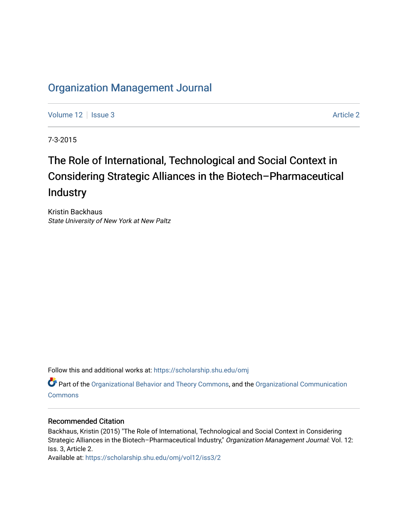# [Organization Management Journal](https://scholarship.shu.edu/omj)

[Volume 12](https://scholarship.shu.edu/omj/vol12) | [Issue 3](https://scholarship.shu.edu/omj/vol12/iss3) [Article 2](https://scholarship.shu.edu/omj/vol12/iss3/2) | Article 2 Article 2 | Article 2 | Article 2 | Article 2 | Article 2 | Article 2

7-3-2015

# The Role of International, Technological and Social Context in Considering Strategic Alliances in the Biotech–Pharmaceutical Industry

Kristin Backhaus State University of New York at New Paltz

Follow this and additional works at: [https://scholarship.shu.edu/omj](https://scholarship.shu.edu/omj?utm_source=scholarship.shu.edu%2Fomj%2Fvol12%2Fiss3%2F2&utm_medium=PDF&utm_campaign=PDFCoverPages) 

Part of the [Organizational Behavior and Theory Commons,](http://network.bepress.com/hgg/discipline/639?utm_source=scholarship.shu.edu%2Fomj%2Fvol12%2Fiss3%2F2&utm_medium=PDF&utm_campaign=PDFCoverPages) and the [Organizational Communication](http://network.bepress.com/hgg/discipline/335?utm_source=scholarship.shu.edu%2Fomj%2Fvol12%2Fiss3%2F2&utm_medium=PDF&utm_campaign=PDFCoverPages) **[Commons](http://network.bepress.com/hgg/discipline/335?utm_source=scholarship.shu.edu%2Fomj%2Fvol12%2Fiss3%2F2&utm_medium=PDF&utm_campaign=PDFCoverPages)** 

### Recommended Citation

Backhaus, Kristin (2015) "The Role of International, Technological and Social Context in Considering Strategic Alliances in the Biotech-Pharmaceutical Industry," Organization Management Journal: Vol. 12: Iss. 3, Article 2.

Available at: [https://scholarship.shu.edu/omj/vol12/iss3/2](https://scholarship.shu.edu/omj/vol12/iss3/2?utm_source=scholarship.shu.edu%2Fomj%2Fvol12%2Fiss3%2F2&utm_medium=PDF&utm_campaign=PDFCoverPages)